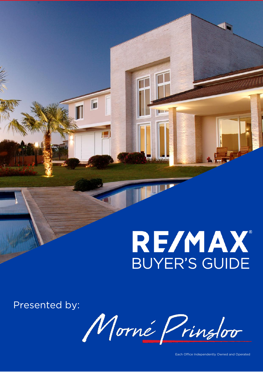# **RE/MAX** BUYER'S GUIDE

Presented by:

Morné Prinsloo

Each Office Independently Owned and Operated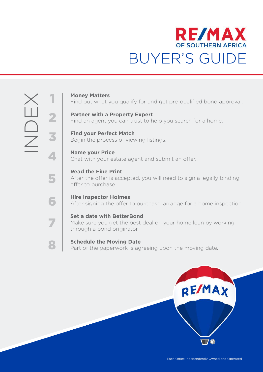

1

2

3

4

5

6

7

8

**Money Matters** Find out what you qualify for and get pre-qualified bond approval.

**Partner with a Property Expert**  Find an agent you can trust to help you search for a home.

**Find your Perfect Match**  Begin the process of viewing listings.

**Name your Price**  Chat with your estate agent and submit an offer.

**Read the Fine Print**  After the offer is accepted, you will need to sign a legally binding offer to purchase.

**Hire Inspector Holmes**  After signing the offer to purchase, arrange for a home inspection.

**Set a date with BetterBond**  Make sure you get the best deal on your home loan by working through a bond originator.

**Schedule the Moving Date**  Part of the paperwork is agreeing upon the moving date.

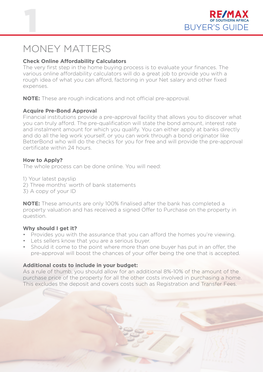

### MONEY MATTERS

#### **Check Online Affordability Calculators**

The very first step in the home buying process is to evaluate your finances. The various online affordability calculators will do a great job to provide you with a rough idea of what you can afford, factoring in your Net salary and other fixed expenses.

**NOTE:** These are rough indications and not official pre-approval.

#### **Acquire Pre-Bond Approval**

Financial institutions provide a pre-approval facility that allows you to discover what you can truly afford. The pre-qualification will state the bond amount, interest rate and instalment amount for which you qualify. You can either apply at banks directly and do all the leg work yourself, or you can work through a bond originator like BetterBond who will do the checks for you for free and will provide the pre-approval certificate within 24 hours.

#### **How to Apply?**

The whole process can be done online. You will need:

- 1) Your latest payslip
- 2) Three months' worth of bank statements
- 3) A copy of your ID

**NOTE:** These amounts are only 100% finalised after the bank has completed a property valuation and has received a signed Offer to Purchase on the property in question.

#### **Why should I get it?**

- Provides you with the assurance that you can afford the homes you're viewing.
- Lets sellers know that you are a serious buyer.
- Should it come to the point where more than one buyer has put in an offer, the pre-approval will boost the chances of your offer being the one that is accepted.

#### **Additional costs to include in your budget:**

As a rule of thumb, you should allow for an additional 8%-10% of the amount of the purchase price of the property for all the other costs involved in purchasing a home. This excludes the deposit and covers costs such as Registration and Transfer Fees.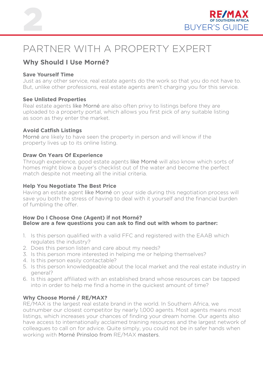



### PARTNER WITH A PROPERTY EXPERT

### **Why Should I Use Morné?**

#### **Save Yourself Time**

Just as any other service, real estate agents do the work so that you do not have to. But, unlike other professions, real estate agents aren't charging you for this service.

#### **See Unlisted Properties**

Real estate agents like Morné are also often privy to listings before they are uploaded to a property portal, which allows you first pick of any suitable listing as soon as they enter the market.

#### **Avoid Catfish Listings**

Morné are likely to have seen the property in person and will know if the property lives up to its online listing.

#### **Draw On Years Of Experience**

Through experience, good estate agents like Morné will also know which sorts of homes might blow a buyer's checklist out of the water and become the perfect match despite not meeting all the initial criteria.

#### **Help You Negotiate The Best Price**

Having an estate agent like Morné on your side during this negotiation process will save you both the stress of having to deal with it yourself and the financial burden of fumbling the offer.

#### **How Do I Choose One (Agent) if not Morné? Below are a few questions you can ask to find out with whom to partner:**

- 1. Is this person qualified with a valid FFC and registered with the EAAB which regulates the industry?
- 2. Does this person listen and care about my needs?
- 3. Is this person more interested in helping me or helping themselves?
- 4. Is this person easily contactable?
- 5. Is this person knowledgeable about the local market and the real estate industry in general?
- 6. Is this agent affiliated with an established brand whose resources can be tapped into in order to help me find a home in the quickest amount of time?

#### **Why Choose Morné / RE/MAX?**

RE/MAX is the largest real estate brand in the world. In Southern Africa, we outnumber our closest competitor by nearly 1,000 agents. Most agents means most listings, which increases your chances of finding your dream home. Our agents also have access to internationally acclaimed training resources and the largest network of colleagues to call on for advice. Quite simply, you could not be in safer hands when working with Morné Prinsloo from RE/MAX masters.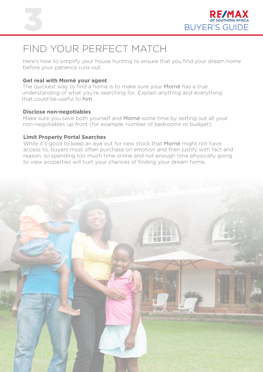



### FIND YOUR PERFECT MATCH

Here's how to simplify your house hunting to ensure that you find your dream home before your patience runs out:

#### **Get real with Morné your agent**

The quickest way to find a home is to make sure your Morné has a true understanding of what you're searching for. Explain anything and everything that could be useful to him.

#### **Disclose non-negotiables**

Make sure you save both yourself and Morné some time by setting out all your non-negotiables up front (for example, number of bedrooms or budget).

#### **Limit Property Portal Searches**

While it's good to keep an eye out for new stock that Morné might not have access to, buyers most often purchase on emotion and then justify with fact and reason, so spending too much time online and not enough time physically going to view properties will hurt your chances of finding your dream home.

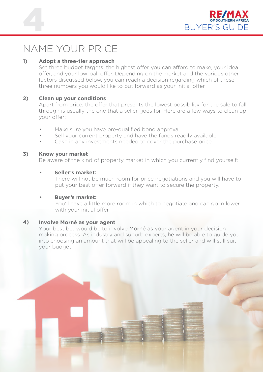



### NAME YOUR PRICE

#### **1) Adopt a three-tier approach**

Set three budget targets: the highest offer you can afford to make, your ideal offer, and your low-ball offer. Depending on the market and the various other factors discussed below, you can reach a decision regarding which of these three numbers you would like to put forward as your initial offer.

#### **2) Clean up your conditions**

Apart from price, the offer that presents the lowest possibility for the sale to fall through is usually the one that a seller goes for. Here are a few ways to clean up your offer:

- Make sure you have pre-qualified bond approval.
- Sell your current property and have the funds readily available.
- Cash in any investments needed to cover the purchase price.

#### **3) Know your market**

Be aware of the kind of property market in which you currently find yourself:

#### **• Seller's market:**

There will not be much room for price negotiations and you will have to put your best offer forward if they want to secure the property.

#### **• Buyer's market:**

You'll have a little more room in which to negotiate and can go in lower with your initial offer.

#### **4) Involve Morné as your agent**

Your best bet would be to involve Morné as your agent in your decisionmaking process. As industry and suburb experts, he will be able to guide you into choosing an amount that will be appealing to the seller and will still suit your budget.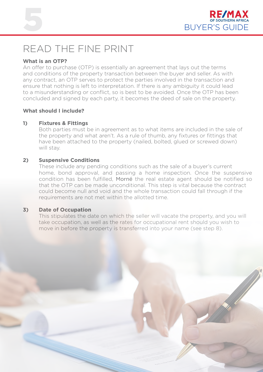



### READ THE FINE PRINT

#### **What is an OTP?**

An offer to purchase (OTP) is essentially an agreement that lays out the terms and conditions of the property transaction between the buyer and seller. As with any contract, an OTP serves to protect the parties involved in the transaction and ensure that nothing is left to interpretation. If there is any ambiguity it could lead to a misunderstanding or conflict, so is best to be avoided. Once the OTP has been concluded and signed by each party, it becomes the deed of sale on the property.

#### **What should I include?**

#### **1) Fixtures & Fittings**

Both parties must be in agreement as to what items are included in the sale of the property and what aren't. As a rule of thumb, any fixtures or fittings that have been attached to the property (nailed, bolted, glued or screwed down) will stay.

#### **2) Suspensive Conditions**

These include any pending conditions such as the sale of a buyer's current home, bond approval, and passing a home inspection. Once the suspensive condition has been fulfilled, Morné the real estate agent should be notified so that the OTP can be made unconditional. This step is vital because the contract could become null and void and the whole transaction could fall through if the requirements are not met within the allotted time.

#### **3) Date of Occupation**

This stipulates the date on which the seller will vacate the property, and you will take occupation, as well as the rates for occupational rent should you wish to move in before the property is transferred into your name (see step 8).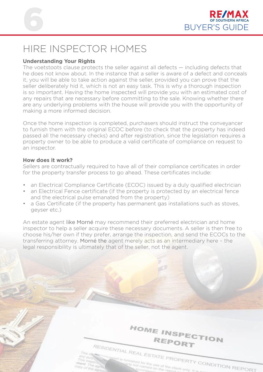



### HIRE INSPECTOR HOMES

#### **Understanding Your Rights**

The voetstoots clause protects the seller against all defects — including defects that he does not know about. In the instance that a seller is aware of a defect and conceals it, you will be able to take action against the seller, provided you can prove that the seller deliberately hid it, which is not an easy task. This is why a thorough inspection is so important. Having the home inspected will provide you with an estimated cost of any repairs that are necessary before committing to the sale. Knowing whether there are any underlying problems with the house will provide you with the opportunity of making a more informed decision.

Once the home inspection is completed, purchasers should instruct the conveyancer to furnish them with the original ECOC before (to check that the property has indeed passed all the necessary checks) and after registration, since the legislation requires a property owner to be able to produce a valid certificate of compliance on request to an inspector.

#### **How does it work?**

Sellers are contractually required to have all of their compliance certificates in order for the property transfer process to go ahead. These certificates include:

- an Electrical Compliance Certificate (ECOC) issued by a duly qualified electrician
- an Electrical Fence certificate (if the property is protected by an electrical fence and the electrical pulse emanated from the property)
- a Gas Certificate (if the property has permanent gas installations such as stoves, geyser etc.)

An estate agent like Morné may recommend their preferred electrician and home inspector to help a seller acquire these necessary documents. A seller is then free to choose his/her own if they prefer, arrange the inspection, and send the ECOCs to the transferring attorney. Morné the agent merely acts as an intermediary here – the legal responsibility is ultimately that of the seller, not the agent.

HOME INSPECTION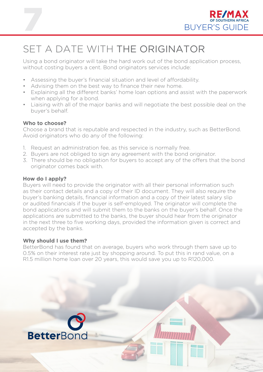

# SET A DATE WITH THE ORIGINATOR

Using a bond originator will take the hard work out of the bond application process, without costing buyers a cent. Bond originators services include:

- Assessing the buyer's financial situation and level of affordability.
- Advising them on the best way to finance their new home.
- Explaining all the different banks' home loan options and assist with the paperwork when applying for a bond.
- Liaising with all of the major banks and will negotiate the best possible deal on the buyer's behalf.

#### **Who to choose?**

7

Choose a brand that is reputable and respected in the industry, such as BetterBond. Avoid originators who do any of the following:

- 1. Request an administration fee, as this service is normally free.
- 2. Buyers are not obliged to sign any agreement with the bond originator.
- 3. There should be no obligation for buyers to accept any of the offers that the bond originator comes back with.

#### **How do I apply?**

Buyers will need to provide the originator with all their personal information such as their contact details and a copy of their ID document. They will also require the buyer's banking details, financial information and a copy of their latest salary slip or audited financials if the buyer is self-employed. The originator will complete the bond applications and will submit them to the banks on the buyer's behalf. Once the applications are submitted to the banks, the buyer should hear from the originator in the next three to five working days, provided the information given is correct and accepted by the banks.

#### **Why should I use them?**

BetterBond has found that on average, buyers who work through them save up to 0.5% on their interest rate just by shopping around. To put this in rand value, on a R1.5 million home loan over 20 years, this would save you up to R120,000.

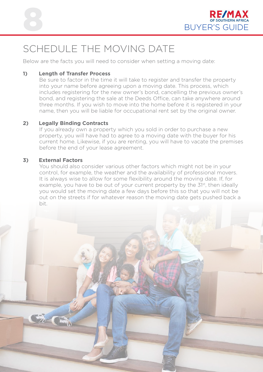

## SCHEDULE THE MOVING DATE

Below are the facts you will need to consider when setting a moving date:

#### **1) Length of Transfer Process**

Be sure to factor in the time it will take to register and transfer the property into your name before agreeing upon a moving date. This process, which includes registering for the new owner's bond, cancelling the previous owner's bond, and registering the sale at the Deeds Office, can take anywhere around three months. If you wish to move into the home before it is registered in your name, then you will be liable for occupational rent set by the original owner.

#### **2) Legally Binding Contracts**

If you already own a property which you sold in order to purchase a new property, you will have had to agree to a moving date with the buyer for his current home. Likewise, if you are renting, you will have to vacate the premises before the end of your lease agreement.

#### **3) External Factors**

You should also consider various other factors which might not be in your control, for example, the weather and the availability of professional movers. It is always wise to allow for some flexibility around the moving date. If, for example, you have to be out of your current property by the 31<sup>st</sup>, then ideally you would set the moving date a few days before this so that you will not be out on the streets if for whatever reason the moving date gets pushed back a bit.

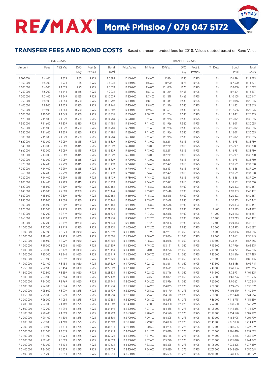#### TRANSFER FEES AND BOND COSTS Based on recommended fees for 2018. Values quoted based on Rand Value

**DE/MA** 

| <b>BOND COSTS</b>          |                      |                    |                      |                   |                      | <b>TRANSFER COSTS</b>      |                      |                    |                      |                   |                        |                        |                        |
|----------------------------|----------------------|--------------------|----------------------|-------------------|----------------------|----------------------------|----------------------|--------------------|----------------------|-------------------|------------------------|------------------------|------------------------|
| Amount                     | Fees                 | 15% Vat            | D/O<br>Levy          | Post &<br>Petties | Bond<br>Total        | Price/Value                | Trf Fees             | 15% Vat            | D/O<br>Levy          | Post &<br>Petties | Trf Duty               | Bond<br>Total          | Total<br>Costs         |
|                            |                      |                    |                      |                   |                      |                            |                      |                    |                      |                   |                        |                        |                        |
| R 100 000                  | R4600                | R 829              | R 35                 | R 925             | R 6 389              | R 100 000                  | R 4 600              | R 834              | R 35                 | R 925             | $\mathsf R$ -          | R 6 394                | R 12783                |
| R 150 000<br>R 200 000     | R 5 300<br>R 6000    | R 934<br>R 1 039   | R 75<br>R 75         | R 925<br>R 925    | R 7 234<br>R 8 0 3 9 | R 150 000<br>R 200 000     | R 5 600<br>R 6 000   | R 990<br>R 1 050   | R 75<br>R 75         | R 925<br>R 925    | $R -$<br>$R -$         | R 7 590<br>R 8 050     | R 14 824<br>R 16 089   |
| R 250 000                  | R 6700               | R 1 144            | R 465                | R 925             | R 9 234              | R 250 000                  | R 6 700              | R1214              | R 465                | R 925             | $R -$                  | R 9 304                | R 18 537               |
| R 300 000                  | R 7 400              | R 1 249            | R 465                | R 925             | R 10 039             | R 300 000                  | R 7 400              | R1319              | R 465                | R 925             | $R -$                  | R 10 109               | R 20 147               |
| R 350 000                  | R 8 100              | R 1 354            | R 580                | R 925             | R 10 959             | R 350 000                  | R 8 100              | R 1 441            | R 580                | R 925             | $R -$                  | R 11 046               | R 22 005               |
| R 400 000                  | R 8 800              | R 1 459            | R 580                | R 925             | R 11 764             | R 400 000                  | R 8 800              | R 1 546            | R 580                | R 925             | $R -$                  | R 11 851               | R 23 615               |
| R 450 000                  | R 9 500              | R 1 564            | R 580                | R 925             | R 12 569             | R 450 000                  | R 9 500              | R 1 651            | R 580                | R 925             | $R -$                  | R 12 656               | R 25 225               |
| R 500 000                  | R 10 200             | R 1 669            | R 580                | R 925             | R 13 374             | R 500 000                  | R 10 200             | R 1 7 5 6          | R 580                | R 925             | $R -$                  | R 13 461               | R 26 835               |
| R 520 000                  | R 11 600             | R 1879             | R 580                | R 925             | R 14 984             | R 520 000                  | R 11 600             | R 1 966            | R 580                | R 925             | $\mathsf R$ -          | R 15 071               | R 30 055               |
| R 540 000                  | R 11 600             | R 1879             | R 580                | R 925             | R 14 984             | R 540 000                  | R 11 600             | R1966              | R 580                | R 925             | $R -$                  | R 15 071               | R 30 055               |
| R 560 000                  | R 11 600             | R 1879             | R 580                | R 925             | R 14 984             | R 560 000                  | R 11 600             | R1966              | R 580                | R 925             | $R -$                  | R 15 071               | R 30 055               |
| R 580 000                  | R 11 600             | R 1879             | R 580                | R 925             | R 14 984             | R 580 000                  | R 11 600             | R1966              | R 580                | R 925             | $\mathsf R$ -          | R 15 071               | R 30 055               |
| R 600 000                  | R 11 600             | R 1879             | R 580                | R 925             | R 14 984             | R 600 000                  | R 11 600             | R1966              | R 580                | R 925             | $R -$                  | R 15 071               | R 30 055               |
| R 620 000                  | R 13 000             | R 2089             | R 815                | R 925             | R 16 829             | R 620 000                  | R 13 000             | R 2 211            | R 815                | R 925             | $R -$                  | R 16 951               | R 33 780               |
| R 640 000<br>R 660 000     | R 13 000<br>R 13 000 | R 2089<br>R 2089   | R 815<br>R 815       | R 925<br>R 925    | R 16 829<br>R 16 829 | R 640 000<br>R 660 000     | R 13 000<br>R 13 000 | R 2 211<br>R 2 211 | R 815<br>R 815       | R 925<br>R 925    | $\mathsf R$ -<br>$R -$ | R 16 951<br>R 16 951   | R 33 780<br>R 33 780   |
| R 680 000                  | R 13 000             | R 2089             | R 815                | R 925             | R 16 829             | R 680 000                  | R 13 000             | R 2 211            | R 815                | R 925             | $R -$                  | R 16 951               | R 33 780               |
| R 700 000                  | R 13 000             | R 2089             | R 815                | R 925             | R 16 829             | R 700 000                  | R 13 000             | R 2 211            | R 815                | R 925             | $R -$                  | R 16 951               | R 33 780               |
| R 720 000                  | R 14 400             | R 2 299            | R 815                | R 925             | R 18 439             | R 720 000                  | R 14 400             | R 2 4 21           | R 815                | R 925             | $R -$                  | R 18 561               | R 37 000               |
| R 740 000                  | R 14 400             | R 2 299            | R 815                | R 925             | R 18 439             | R 740 000                  | R 14 400             | R 2 4 21           | R 815                | R 925             | $R -$                  | R 18 561               | R 37 000               |
| R 760 000                  | R 14 400             | R 2 299            | R 815                | R 925             | R 18 439             | R 760 000                  | R 14 400             | R 2 4 21           | R 815                | R 925             | $R -$                  | R 18 561               | R 37 000               |
| R 780 000                  | R 14 400             | R 2 299            | R 815                | R 925             | R 18 439             | R 780 000                  | R 14 400             | R 2 421            | R 815                | R 925             | $R -$                  | R 18 561               | R 37 000               |
| R 800 000                  | R 14 400             | R 2 299            | R 815                | R 925             | R 18 439             | R 800 000                  | R 14 400             | R 2 4 21           | R 815                | R 925             | $R -$                  | R 18 561               | R 37 000               |
| R 820 000                  | R 15 800             | R 2 509            | R 930                | R 925             | R 20 164             | R 820 000                  | R 15 800             | R 2 648            | R 930                | R 925             | $R -$                  | R 20 303               | R 40 467               |
| R 840 000                  | R 15 800             | R 2 509            | R 930                | R 925             | R 20 164             | R 840 000                  | R 15 800             | R 2 648            | R 930                | R 925             | $R -$                  | R 20 303               | R 40 467               |
| R 860 000                  | R 15 800             | R 2 509            | R 930                | R 925             | R 20 164             | R 860 000                  | R 15 800             | R 2 648            | R 930                | R 925             | $\mathsf R$ -          | R 20 303               | R 40 467               |
| R 880 000<br>R 900 000     | R 15 800<br>R 15 800 | R 2 509<br>R 2 509 | R 930<br>R 930       | R 925             | R 20 164<br>R 20 164 | R 880 000<br>R 900 000     | R 15 800<br>R 15 800 | R 2 648            | R 930<br>R 930       | R 925             | $R -$<br>$R -$         | R 20 303<br>R 20 303   | R 40 467<br>R 40 467   |
| R 920 000                  | R 17 200             | R 2719             | R 930                | R 925<br>R 925    | R 21 774             | R 920 000                  | R 17 200             | R 2 648<br>R 2 858 | R 930                | R 925<br>R 925    | R 600                  | R 22 513               | R 44 287               |
| R 940 000                  | R 17 200             | R 2719             | R 930                | R 925             | R 21 774             | R 940 000                  | R 17 200             | R 2 858            | R 930                | R 925             | R 1 200                | R 23 113               | R 44 887               |
| R 960 000                  | R 17 200             | R 2719             | R 930                | R 925             | R 21 774             | R 960 000                  | R 17 200             | R 2 858            | R 930                | R 925             | R 1800                 | R 23 713               | R 45 487               |
| R 980 000                  | R 17 200             | R 2719             | R 930                | R 925             | R 21 774             | R 980 000                  | R 17 200             | R 2 858            | R 930                | R 925             | R 2 400                | R 24 313               | R 46 087               |
| R 1 000 000                | R 17 200             | R 2719             | R 930                | R 925             | R 21 774             | R 1 000 000                | R 17 200             | R 2 858            | R 930                | R 925             | R 3 000                | R 24 913               | R 46 687               |
| R 1 100 000                | R 17 900             | R 2 824            | R 1 050              | R 925             | R 22 699             | R 1 100 000                | R 17 900             | R 2 981            | R 1 050              | R 925             | R 6 000                | R 28 856               | R 51 555               |
| R 1 200 000                | R 18 600             | R 2 9 2 9          | R 1 050              | R 925             | R 23 504             | R 1 200 000                | R 18 600             | R 3 0 8 6          | R 1 050              | R 925             | R 9 000                | R 32 661               | R 56 165               |
| R 1 250 000                | R 18 600             | R 2 9 2 9          | R 1 050              | R 925             | R 23 504             | R 1 250 000                | R 18 600             | R 3 0 8 6          | R 1 0 5 0            | R 925             | R 10 500               | R 34 161               | R 57 665               |
| R 1 300 000                | R 19 300             | R 3 0 3 4          | R 1 0 5 0            | R 925             | R 24 309             | R 1 300 000                | R 19 300             | R 3 191            | R 1 050              | R 925             | R 13 500               | R 37 966               | R 62 275               |
| R 1 400 000<br>R 1 500 000 | R 20 000<br>R 20700  | R 3 139            | R 1 0 5 0<br>R 1 050 | R 925             | R 25 114<br>R 25 919 | R 1 400 000<br>R 1 500 000 | R 20 000<br>R 20 700 | R 3 296            | R 1 0 5 0<br>R 1 050 | R 925<br>R 925    | R 19 500               | R 44 771               | R 69 885<br>R 77 495   |
| R 1 600 000                | R 21 400             | R 3 244<br>R 3 349 | R 1 050              | R 925<br>R 925    | R 26 7 24            | R 1 600 000                | R 21 400             | R 3 401<br>R 3 506 | R 1 050              | R 925             | R 25 500<br>R 31 500   | R 51 576<br>R 58 381   | R 85 105               |
| R 1 700 000                | R 22 100             | R 3 454            | R 1 050              | R 925             | R 27 529             | R 1 700 000                | R 22 100             | R 3 611            | R 1 0 5 0            | R 925             | R 37 500               | R 65 186               | R92715                 |
| R 1750 000                 | R 22 100             | R 3 454            | R 1 050              | R 925             | R 27 529             | R 1750 000                 | R 22 100             | R3611              | R 1 0 5 0            | R 925             | R 40 500               | R 68 186               | R 95 715               |
| R 1 800 000                | R 22 800             | R 3 559            | R 1 050              | R 925             | R 28 334             | R 1 800 000                | R 22 800             | R 3716             | R 1 050              | R 925             | R 44 500               | R 72 991               | R 101 325              |
| R 1 900 000                | R 23 500             | R 3 664            | R 1 050              | R 925             | R 29 139             | R 1 900 000                | R 23 500             | R 3 821            | R 1 0 5 0            | R 925             | R 52 500               | R 81 796               | R 110 935              |
| R 2 000 000                | R 24 200             | R 3769             | R 1 050              | R 925             | R 29 944             | R 2 000 000                | R 24 200             | R 3 9 2 6          | R 1 0 5 0            | R 925             | R 60 500               | R 90 601               | R 120 545              |
| R 2 100 000                | R 24 900             | R 3 874            | R 1 275              | R 925             | R 30 974             | R 2 100 000                | R 24 900             | R 4 065            | R 1 275              | R 925             | R 68 500               | R 99 665               | R 130 639              |
| R 2 200 000                | R 25 600             | R 3 979            | R 1 275              | R 925             | R 31 779             | R 2 200 000                | R 25 600             | R 4 170            | R 1 275              | R 925             | R 76 500               | R 108 470              | R 140 249              |
| R 2 250 000                | R 25 600             | R 3 979            | R 1 275              | R 925             | R 31 794             | R 2 250 000                | R 25 600             | R 4 170            | R 1 275              | R 925             | R 80 500               | R 112 470              | R 144 264              |
| R 2 300 000                | R 26 300             | R 4 084            | R 1 275              | R 925             | R 32 584             | R 2 300 000                | R 26 300             | R 4 275            | R 1 275              | R 925             | R 86 000               | R 118 775              | R 151 359              |
| R 2 400 000<br>R 2 500 000 | R 27 000<br>R 27 700 | R 4 189<br>R 4 294 | R 1 275<br>R 1 275   | R 925<br>R 925    | R 33 389<br>R 34 194 | R 2 400 000<br>R 2 500 000 | R 27 000<br>R 27 700 | R4380<br>R 4 4 8 5 | R 1 275<br>R 1 275   | R 925<br>R 925    | R 97 000<br>R 108 000  | R 130 580<br>R 142 385 | R 163 969<br>R 176 579 |
| R 2 600 000                | R 28 400             | R 4 399            | R 1 275              | R 925             | R 34 999             | R 2 600 000                | R 28 400             | R 4 590            | R 1 275              | R 925             | R 119 000              | R 154 190              | R 189 189              |
| R 2700000                  | R 29 100             | R 4 504            | R 1 275              | R 925             | R 35 804             | R 2700000                  | R 29 100             | R4695              | R 1 275              | R 925             | R 130 000              | R 165 995              | R 201 799              |
| R 2 800 000                | R 29 800             | R 4 609            | R 1 275              | R 925             | R 36 609             | R 2 800 000                | R 29 800             | R 4 800            | R 1 275              | R 925             | R 141 000              | R 177 800              | R 214 409              |
| R 2 900 000                | R 30 500             | R4714              | R 1 275              | R 925             | R 37 414             | R 2 900 000                | R 30 500             | R4905              | R 1 275              | R 925             | R 152 000              | R 189 605              | R 227 019              |
| R 3 000 000                | R 31 200             | R4819              | R 1 275              | R 925             | R 38 219             | R 3 000 000                | R 31 200             | R 5 0 1 0          | R 1 275              | R 925             | R 163 000              | R 201 410              | R 239 629              |
| R 3 100 000                | R 31 900             | R 4 924            | R 1 275              | R 925             | R 39 024             | R 3 100 000                | R 31 900             | R 5 115            | R 1 275              | R 925             | R 174 000              | R 213 215              | R 252 239              |
| R 3 200 000                | R 32 600             | R 5 0 29           | R 1 275              | R 925             | R 39 829             | R 3 200 000                | R 32 600             | R 5 2 2 0          | R 1 275              | R 925             | R 185 000              | R 225 020              | R 264 849              |
| R 3 300 000                | R 33 300             | R 5 134            | R 1 275              | R 925             | R 40 634             | R 3 300 000                | R 33 300             | R 5 325            | R 1 275              | R 925             | R 196 000              | R 236 825              | R 277 459              |
| R 3 400 000                | R 34 000             | R 5 239            | R 1 275              | R 925             | R 41 439             | R 3 400 000                | R 34 000             | R 5 4 3 0          | R 1 275              | R 925             | R 207 000              | R 248 630              | R 290 069              |
| R 3 500 000                | R 34 700             | R 5 344            | R 1 275              | R 925             | R 42 244             | R 3 500 000                | R 34 700             | R 5 5 3 5          | R 1 275              | R 925             | R 218 000              | R 260 435              | R 302 679              |